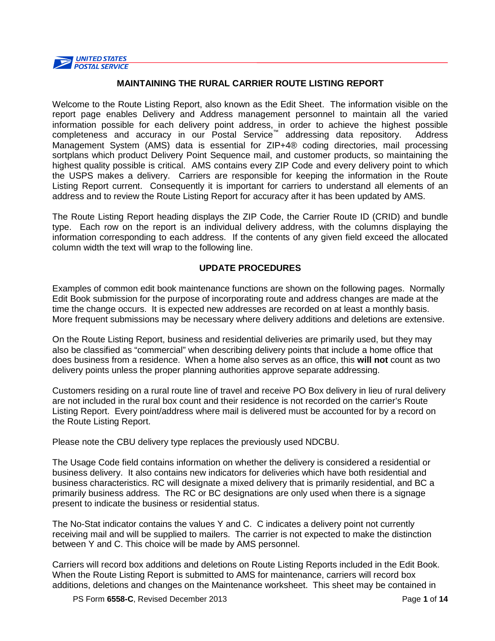

# **MAINTAINING THE RURAL CARRIER ROUTE LISTING REPORT**

Welcome to the Route Listing Report, also known as the Edit Sheet. The information visible on the report page enables Delivery and Address management personnel to maintain all the varied information possible for each delivery point address, in order to achieve the highest possible completeness and accuracy in our Postal Service™ addressing data repository. Address Management System (AMS) data is essential for ZIP+4® coding directories, mail processing sortplans which product Delivery Point Sequence mail, and customer products, so maintaining the highest quality possible is critical. AMS contains every ZIP Code and every delivery point to which the USPS makes a delivery. Carriers are responsible for keeping the information in the Route Listing Report current. Consequently it is important for carriers to understand all elements of an address and to review the Route Listing Report for accuracy after it has been updated by AMS.

The Route Listing Report heading displays the ZIP Code, the Carrier Route ID (CRID) and bundle type. Each row on the report is an individual delivery address, with the columns displaying the information corresponding to each address. If the contents of any given field exceed the allocated column width the text will wrap to the following line.

# **UPDATE PROCEDURES**

Examples of common edit book maintenance functions are shown on the following pages. Normally Edit Book submission for the purpose of incorporating route and address changes are made at the time the change occurs. It is expected new addresses are recorded on at least a monthly basis. More frequent submissions may be necessary where delivery additions and deletions are extensive.

On the Route Listing Report, business and residential deliveries are primarily used, but they may also be classified as "commercial" when describing delivery points that include a home office that does business from a residence. When a home also serves as an office, this **will not** count as two delivery points unless the proper planning authorities approve separate addressing.

Customers residing on a rural route line of travel and receive PO Box delivery in lieu of rural delivery are not included in the rural box count and their residence is not recorded on the carrier's Route Listing Report. Every point/address where mail is delivered must be accounted for by a record on the Route Listing Report.

Please note the CBU delivery type replaces the previously used NDCBU.

The Usage Code field contains information on whether the delivery is considered a residential or business delivery. It also contains new indicators for deliveries which have both residential and business characteristics. RC will designate a mixed delivery that is primarily residential, and BC a primarily business address. The RC or BC designations are only used when there is a signage present to indicate the business or residential status.

The No-Stat indicator contains the values Y and C. C indicates a delivery point not currently receiving mail and will be supplied to mailers. The carrier is not expected to make the distinction between Y and C. This choice will be made by AMS personnel.

Carriers will record box additions and deletions on Route Listing Reports included in the Edit Book. When the Route Listing Report is submitted to AMS for maintenance, carriers will record box additions, deletions and changes on the Maintenance worksheet. This sheet may be contained in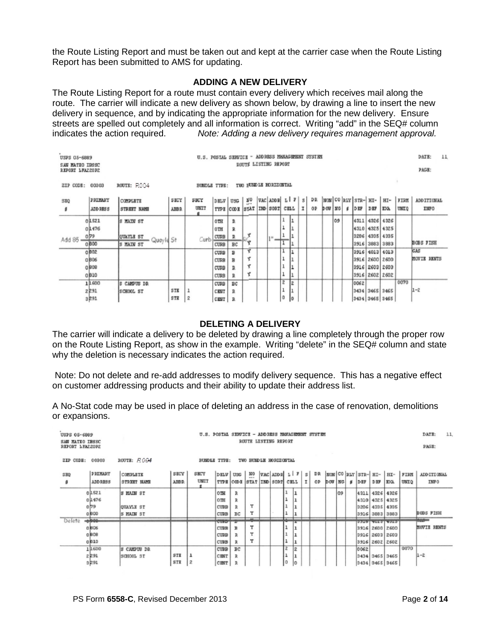the Route Listing Report and must be taken out and kept at the carrier case when the Route Listing Report has been submitted to AMS for updating.

#### **ADDING A NEW DELIVERY**

The Route Listing Report for a route must contain every delivery which receives mail along the route. The carrier will indicate a new delivery as shown below, by drawing a line to insert the new delivery in sequence, and by indicating the appropriate information for the new delivery. Ensure streets are spelled out completely and all information is correct. Writing "add" in the SEQ# column indicates the action required. Note: Adding a new delivery requires management approval. Note: Adding a new delivery requires management approval.

| USPS 05-6889<br>SAN MATEO IBSSC<br>REPORT LFAZZOPZ | ROUTE LISTING REPORT |                         |            |                     |             | U.S. POSTAL SERVICE - ADDRESS MANAGEMENT SYSTEM |                       |          |   |      |   |    | DATE:<br>PAGE:             | 11  |      |                |                                                          |              |                   |  |
|----------------------------------------------------|----------------------|-------------------------|------------|---------------------|-------------|-------------------------------------------------|-----------------------|----------|---|------|---|----|----------------------------|-----|------|----------------|----------------------------------------------------------|--------------|-------------------|--|
| ZIP CODE:                                          | 00303                | ROUTE: ROO4             |            | <b>BUNDLE TYPE:</b> |             |                                                 | TWO PUMPLE HORIZONTAL |          |   |      |   |    |                            |     |      |                |                                                          |              |                   |  |
| SHQ                                                | PRIMARY              | COMPLETE                | SECY       | SHUY                | DELV USG    |                                                 | $\widetilde{R}$ 0     |          |   |      |   |    |                            |     |      |                | VAC ADDR LIF S DR  NON  CO  RLY   STR-  HI-   HI-   FIRM |              | <b>ADDITIONAL</b> |  |
| ٠                                                  | ADD RESS             | STREET NAME             | AIBR.      | UNIT                |             | TYPE CODE STAT                                  |                       | IND SORT |   | CELL | 고 | Ō₽ | $p$ our $ $ $p$ or $ $ $p$ |     | DEP  | DBF            | EXA.                                                     | <b>UMILO</b> | INFO              |  |
|                                                    | 01521                | MAIN ST<br>ß            |            |                     | $0$ TH      | R                                               |                       |          |   |      |   |    |                            | 109 |      |                | 4311 4326 4326                                           |              |                   |  |
|                                                    | 01476                |                         |            |                     | $0$ TH      | R                                               |                       |          |   |      |   |    |                            |     |      |                | 4310 4325 4325                                           |              |                   |  |
| $Add 85 -$                                         | $0^{79}$             | QUAYLE ST<br>Quay Id St |            | Curb                | CURB        | R                                               |                       | 811      |   |      |   |    |                            |     |      |                | 3206 4335 4335                                           |              |                   |  |
|                                                    | 0 000                | S MAIN ST               |            |                     | CURB        | BC                                              |                       |          |   |      |   |    |                            |     |      |                | 3916 3883 3883                                           |              | <b>BOBS FISH</b>  |  |
|                                                    | 0802                 |                         |            |                     | CURB        | в                                               | Υ                     |          |   |      |   |    |                            |     |      |                | 3916 4013 4013                                           |              | CAS               |  |
|                                                    | 0806                 |                         |            |                     | CURB        | в                                               | τ                     |          |   |      |   |    |                            |     |      |                | 3916 2600 2600                                           |              | MOVIE RENTS       |  |
|                                                    | 0 808                |                         |            |                     | CURB        | R                                               | Ý                     |          |   |      |   |    |                            |     |      |                | 3916 2603 2603                                           |              |                   |  |
|                                                    | 0010                 |                         |            |                     | <b>CURB</b> | R                                               | Y                     |          |   |      |   |    |                            |     |      |                | 3916 2602 2602                                           |              |                   |  |
|                                                    | 11.600               | CAMPUS DR               |            |                     | CURB        | BC                                              |                       |          | z | iż.  |   |    |                            |     | 0062 |                |                                                          | 0070         |                   |  |
|                                                    | 2291                 | SCHOOL ST               | <b>STK</b> |                     | <b>CENT</b> | R                                               |                       |          |   |      |   |    |                            |     |      | 3434 3465 3465 |                                                          |              | $1 - 2$           |  |
|                                                    | 3291                 |                         | STR        | 2                   | CENT        | R                                               |                       |          | 0 | 10   |   |    |                            |     |      |                | 3434 3465 3465                                           |              |                   |  |

#### **DELETING A DELIVERY**

The carrier will indicate a delivery to be deleted by drawing a line completely through the proper row on the Route Listing Report, as show in the example. Writing "delete" in the SEQ# column and state why the deletion is necessary indicates the action required.

Note: Do not delete and re-add addresses to modify delivery sequence. This has a negative effect on customer addressing products and their ability to update their address list.

A No-Stat code may be used in place of deleting an address in the case of renovation, demolitions or expansions.

| USPS 05-6889<br>SAN MATEO IBSSC<br>REPORT LEAZZOPZ |                                  |                                     |                     | U.S. POSTAL SERVICE - ADDDESS NANACEMENT SYSTEM |                                                    |                         | ROUTE LISTING REPORT          |  |    |                  |    |    |        |    |     |      |     |                                                                          |              | DATE:<br>PAGE:               | 11 |
|----------------------------------------------------|----------------------------------|-------------------------------------|---------------------|-------------------------------------------------|----------------------------------------------------|-------------------------|-------------------------------|--|----|------------------|----|----|--------|----|-----|------|-----|--------------------------------------------------------------------------|--------------|------------------------------|----|
| ZIP CODE:                                          | 00303                            | $200$ TE: $R004$                    |                     | <b>BUNDLE TYPE:</b>                             |                                                    |                         | TWO BUMDLE HODIZONTAL         |  |    |                  |    |    |        |    |     |      |     |                                                                          |              |                              |    |
| SHO<br>\$                                          | PRIMARY<br>ADD DESS              | COMPLETE<br>STREET NAME             | SECY<br><b>ABBR</b> | SECY<br>UNIT                                    | DHLV USG                                           | TYPE CODE STAT IND SORT |                               |  |    | CELL             | ΙI | OP | DOW NO |    | - # | DEF  | DEF | NO VAC ADDE LIF S DR NOW CO RLY STR- HI- HI-<br>EXA.                     | FIRM<br>UNIO | ADD ITIONAL<br>INFO          |    |
|                                                    | 01521<br>01476<br>079<br>0000    | S MAIN ST<br>OUAYLE ST<br>S MAIN ST |                     |                                                 | 0TH<br>$0$ TH<br><b>CURB</b><br><b>CURB</b>        | в<br>R<br>BC            | Y<br>Y                        |  |    | ı                |    |    |        | 09 |     |      |     | 4311 4326 4326<br>4310 4325 4325<br>3206 4335 4335<br>3916 3883 3883     |              | BOBS FISH                    |    |
| Delete                                             | لمعملا<br>0806<br>0 1808<br>0810 |                                     |                     |                                                 | <b>CUPUT</b><br><b>CURB</b><br>CURB<br><b>CURB</b> | $\mathbb{R}$            | $\overline{\phantom{a}}$<br>Y |  |    | ı                |    |    |        |    |     |      |     | <b>STARISTIRIS</b><br>3916 2600 2600<br>3916 2603 2603<br>3916 2602 2602 |              | <b>Income</b><br>MOVIE DENTS |    |
|                                                    | 11600<br>2291<br>2591            | S CANDUS DR<br>SCHOOL ST            | SIE<br>STE          | ı<br>2                                          | <b>CUBB</b><br>CENT<br>CENT I                      | <b>BC</b><br>D.         |                               |  | ۱o | $\bar{z}$<br>In. |    |    |        |    |     | 0062 |     | 3434 3465 3465<br>$3434$ $3465$ $3465$                                   | 0070         | $1 - 2$                      |    |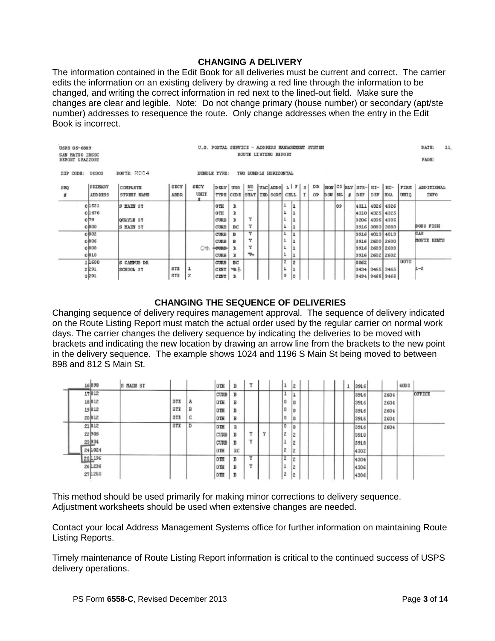# **CHANGING A DELIVERY**

The information contained in the Edit Book for all deliveries must be current and correct. The carrier edits the information on an existing delivery by drawing a red line through the information to be changed, and writing the correct information in red next to the lined-out field. Make sure the changes are clear and legible. Note: Do not change primary (house number) or secondary (apt/ste number) addresses to resequence the route. Only change addresses when the entry in the Edit Book is incorrect.

| USPS 05-6889<br><b>SAN MATEO IBSSC</b><br>REPORT LEAZ20PZ |                                     | U.S. POSTAL SIRVICE - ADDRESS MANAGEMENT SYSTEM |                                              | ROUTE LISTING REPORT                     |                                    |                            |                          |                    |   |           |                                          |     |                           |                |                                                            | 11.<br>DATE:<br>FAGE: |                                  |
|-----------------------------------------------------------|-------------------------------------|-------------------------------------------------|----------------------------------------------|------------------------------------------|------------------------------------|----------------------------|--------------------------|--------------------|---|-----------|------------------------------------------|-----|---------------------------|----------------|------------------------------------------------------------|-----------------------|----------------------------------|
| ZIP CODE:<br>00303                                        | ROUTE: ROO4                         |                                                 | BUNDLE TYPE:                                 |                                          | TWO BUNDLE HORIZONTAL              |                            |                          |                    |   |           |                                          |     |                           |                |                                                            |                       |                                  |
| PRIMARY<br>SEQ<br><b>ADDRESS</b><br>s                     | COMPLETE<br>STREET NAME             | SECY<br><b>AEBR</b>                             | SECY<br>UNIT                                 | DELV USG<br>TYPE CODE                    | $\frac{N}{n}$<br>STAT   IND   SORT | $VAC$ ADDE $L$ $ Z $ $ S $ |                          | CELL               | I | DR.<br>OP | $DOW$ $N$ <sub><math>\sigma</math></sub> |     | NON CORLY STR- HI-<br>DEF | DEF            | HI-<br><b>EXA</b>                                          | FIRM<br>UNIO          | <b>ADDITIONAL</b><br><b>INFO</b> |
| 01521<br>01476<br>$0^{79}$<br>0,800                       | 3 MAIN ST<br>OUAYLE ST<br>S HAIN ST |                                                 | OTH<br>$0$ TH<br>CUBB<br>CURB                | R<br>R<br>T.<br>BС                       | Y<br>т                             |                            | ı<br>ı<br>ı              | ıı<br>ı<br>ıı<br>ı |   |           |                                          | lo9 | 4311<br>3916              |                | 4326 4326<br>4310 4325 4325<br>3206 4335 4335<br>3883 3883 |                       | <b>BOBS FISH</b>                 |
| 0802<br>0806<br>0808<br>0810                              |                                     |                                                 | CUBB<br>CURB<br>Oth<br><b>HOUSD-</b><br>CURB | в<br>в<br>R                              | Y<br>Y<br>Y<br>≁                   |                            | ı<br>ı                   | 1<br>ı<br>ı        |   |           |                                          |     | 3916                      | 3916 2600 2600 | 3916 4013 4013<br>3916 2603 2603<br>2602 2602              |                       | CJS<br><b>MOVIE RENTS</b>        |
| 11600<br>2291<br>3291                                     | S CAMPUS DR<br>SCHOOL ST            | STE<br>STE<br>$\mathbf{z}$                      | CURB<br>CENT<br>CENT                         | <b>BC</b><br><b>YA B</b><br>$\mathbb{R}$ |                                    |                            | $\overline{z}$<br>ı<br>ū | 2<br>ı<br>lo       |   |           |                                          |     | 0062                      |                | 3434 3465 3465<br>3434 3465 3465                           | 0070                  | $1 - 2$                          |

# **CHANGING THE SEQUENCE OF DELIVERIES**

Changing sequence of delivery requires management approval. The sequence of delivery indicated on the Route Listing Report must match the actual order used by the regular carrier on normal work days. The carrier changes the delivery sequence by indicating the deliveries to be moved with brackets and indicating the new location by drawing an arrow line from the brackets to the new point in the delivery sequence. The example shows 1024 and 1196 S Main St being moved to between 898 and 812 S Main St.

|  | 16898   | <b>HAIN ST</b><br>s |     |   | OTH         | в  | v            |   |        | z           |  |  | ٠ | 3916 |      | 4000 |        |
|--|---------|---------------------|-----|---|-------------|----|--------------|---|--------|-------------|--|--|---|------|------|------|--------|
|  | 17812   |                     |     |   | CURB        | в  |              |   |        | ∸           |  |  |   | 3916 | 2604 |      | OFFICE |
|  | 18812   |                     | STE | Α | <b>OTH</b>  | в  |              |   | o      | o           |  |  |   | 3916 | 2604 |      |        |
|  | 19812   |                     | STE | B | OTH         | D  |              |   | Ō      | ١o          |  |  |   | 3916 | 2604 |      |        |
|  | 20 812  |                     | STE | с | <b>DTH</b>  | в  |              |   | o      | o           |  |  |   | 3916 | 2604 |      |        |
|  | 21812   |                     | STE | Þ | OTH         | D. |              |   | o      | i0          |  |  |   | 3916 | 2604 |      |        |
|  | 22906   |                     |     |   | <b>CURB</b> | в  | $\mathbf{v}$ | v | ۰<br>۰ | Ιż          |  |  |   | 3918 |      |      |        |
|  | 23934   |                     |     |   | CUBB        | в  | $\mathbf{v}$ |   | ÷      | ż           |  |  |   | 3918 |      |      |        |
|  | 24 1024 |                     |     |   | OTH         | RC |              |   | г      | lž          |  |  |   | 4302 |      |      |        |
|  | 251196  |                     |     |   | OTH         | в  | v            |   | 2      | ż           |  |  |   | 4304 |      |      |        |
|  | 26 1236 |                     |     |   | OTH         | B  | $\mathbf{v}$ |   | ٠      | 1ż          |  |  |   | 4306 |      |      |        |
|  | 27 1250 |                     |     |   | $0$ TH      | в  |              |   | ٠<br>٠ | $\tilde{z}$ |  |  |   | 4306 |      |      |        |

This method should be used primarily for making minor corrections to delivery sequence. Adjustment worksheets should be used when extensive changes are needed.

Contact your local Address Management Systems office for further information on maintaining Route Listing Reports.

Timely maintenance of Route Listing Report information is critical to the continued success of USPS delivery operations.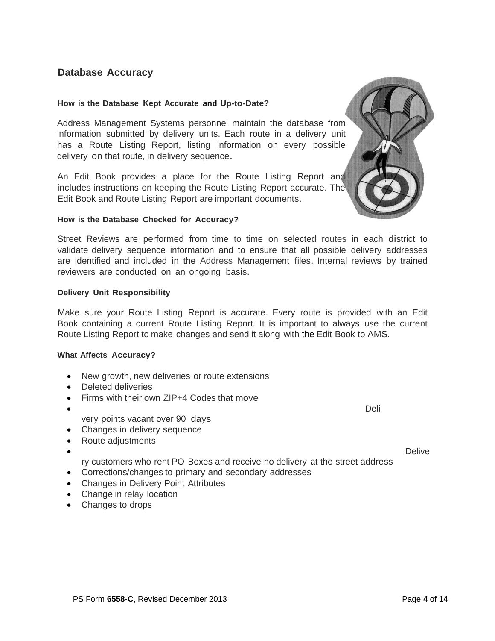# **Database Accuracy**

#### **How is the Database Kept Accurate and Up-to-Date?**

Address Management Systems personnel maintain the database from information submitted by delivery units. Each route in a delivery unit has a Route Listing Report, listing information on every possible delivery on that route, in delivery sequence.

An Edit Book provides a place for the Route Listing Report and includes instructions on keeping the Route Listing Report accurate. The Edit Book and Route Listing Report are important documents.

#### **How is the Database Checked for Accuracy?**

Street Reviews are performed from time to time on selected routes in each district to validate delivery sequence information and to ensure that all possible delivery addresses are identified and included in the Address Management files. Internal reviews by trained reviewers are conducted on an ongoing basis.

#### **Delivery Unit Responsibility**

Make sure your Route Listing Report is accurate. Every route is provided with an Edit Book containing a current Route Listing Report. It is important to always use the current Route Listing Report to make changes and send it along with the Edit Book to AMS.

#### **What Affects Accuracy?**

- New growth, new deliveries or route extensions
- Deleted deliveries
- Firms with their own ZIP+4 Codes that move
- Deli very points vacant over 90 days
- Changes in delivery sequence
- Route adjustments
- - ry customers who rent PO Boxes and receive no delivery at the street address
- Corrections/changes to primary and secondary addresses
- Changes in Delivery Point Attributes
- Change in relay location
- Changes to drops



• **•** Delive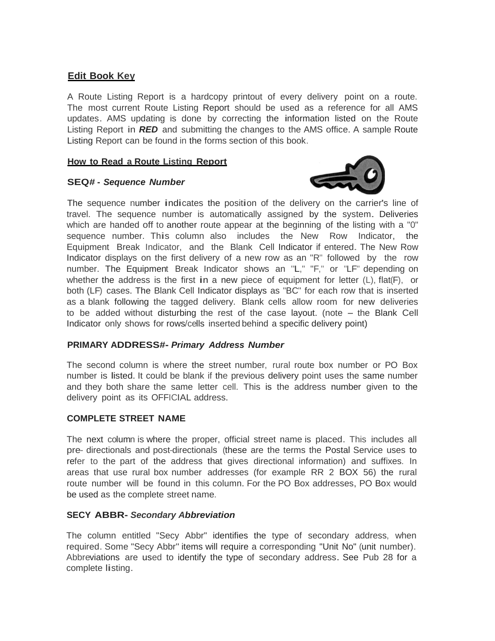# **Edit Book Key**

A Route Listing Report is a hardcopy printout of every delivery point on a route. The most current Route Listing Report should be used as a reference for all AMS updates. AMS updating is done by correcting the information listed on the Route Listing Report in *RED* and submitting the changes to the AMS office. <sup>A</sup> sample Route Listing Report can be found in the forms section of this book.

# **How to Read a Route Listing Report**

# **SEQ# -** *Sequence Number*



The sequence number indicates the position of the delivery on the carrier's line of travel. The sequence number is automatically assigned by the system. Deliveries which are handed off to another route appear at the beginning of the listing with a "0" sequence number. This column also includes the New Row Indicator, the Equipment Break Indicator, and the Blank Cell Indicator if entered. The New Row Indicator displays on the first delivery of a new row as an "R" followed by the row number. The Equipment Break Indicator shows an "L," "F," or "LF" depending on whether the address is the first in a new piece of equipment for letter  $(L)$ , flat $(F)$ , or both (LF) cases. The Blank Cell Indicator displays as "BC" for each row that is inserted as a blank following the tagged delivery. Blank cells allow room for new deliveries to be added without disturbing the rest of the case layout. (note  $-$  the Blank Cell Indicator only shows for rows/cells inserted behind a specific delivery point)

#### **PRIMARY ADDRESS#-** *Primary Address Number*

The second column is where the street number, rural route box number or PO Box number is listed. It could be blank if the previous delivery point uses the same number and they both share the same letter cell. This is the address number given to the delivery point as its OFFICIAL address.

# **COMPLETE STREET NAME**

The next column is where the proper, official street name is placed. This includes all pre- directionals and post-directionals (these are the terms the Postal Service uses to refer to the part of the address that gives directional information) and suffixes. In areas that use rural box number addresses (for example RR 2 BOX 56) the rural route number will be found in this column. For the PO Box addresses, PO Box would be used as the complete street name.

#### **SECY ABBR-** *Secondary Abbreviation*

The column entitled "Secy Abbr" identifies the type of secondary address, when required. Some "Secy Abbr'' items will require a corresponding "Unit No" (unit number). Abbreviations are used to identify the type of secondary address. See Pub 28 for <sup>a</sup> complete listing.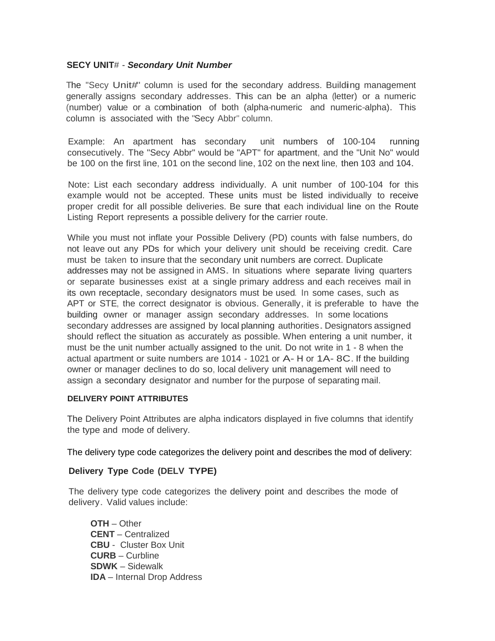# **SECY UNIT**# - *Secondary Unit Number*

The "Secy Unit#" column is used for the secondary address. Building management generally assigns secondary addresses. This can be an alpha (letter) or <sup>a</sup> numeric (number) value or a combination of both (alpha-numeric and numeric-alpha). This column is associated with the "Secy Abbr" column.

Example: An apartment has secondary unit numbers of 100-104 running consecutively. The "Secy Abbr" would be "APT" for apartment, and the "Unit No" would be 100 on the first line, 101 on the second line, 102 on the next line, then 103 and 104.

Note: List each secondary address individually. <sup>A</sup> unit number of 100-104 for this example would not be accepted. These units must be listed individually to receive proper credit for all possible deliveries. Be sure that each individual line on the Route Listing Report represents a possible delivery for the carrier route.

While you must not inflate your Possible Delivery (PD) counts with false numbers, do not leave out any PDs for which your delivery unit should be receiving credit. Care must be taken to insure that the secondary unit numbers are correct. Duplicate addresses may not be assigned in AMS. In situations where separate living quarters or separate businesses exist at a single primary address and each receives mail in its own receptacle, secondary designators must be used. In some cases, such as APT or STE, the correct designator is obvious. Generally, it is preferable to have the building owner or manager assign secondary addresses. In some locations secondary addresses are assigned by local planning authorities. Designators assigned should reflect the situation as accurately as possible. When entering a unit number, it must be the unit number actually assigned to the unit. Do not write in 1 - 8 when the actual apartment or suite numbers are 1014 - 1021 or A- H or 1A- 8C. If the building owner or manager declines to do so, local delivery unit management will need to assign a secondary designator and number for the purpose of separating mail.

#### **DELIVERY POINT ATTRIBUTES**

The Delivery Point Attributes are alpha indicators displayed in five columns that identify the type and mode of delivery.

The delivery type code categorizes the delivery point and describes the mod of delivery:

# **Delivery Type Code (DELV TYPE)**

The delivery type code categorizes the delivery point and describes the mode of delivery. Valid values include:

**OTH** – Other **CENT** – Centralized **CBU** - Cluster Box Unit **CURB** – Curbline **SDWK** – Sidewalk **IDA** – Internal Drop Address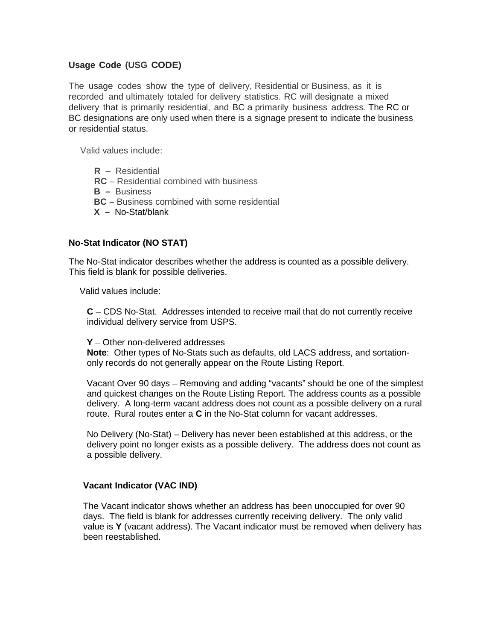# **Usage Code (USG CODE)**

The usage codes show the type of delivery, Residential or Business, as it is recorded and ultimately totaled for delivery statistics. RC will designate a mixed delivery that is primarily residential, and BC a primarily business address. The RC or BC designations are only used when there is a signage present to indicate the business or residential status.

Valid values include:

- **R** Residential
- **RC** Residential combined with business
- **B** Business
- **BC –** Business combined with some residential
- **X –** No-Stat/blank

# **No-Stat Indicator (NO STAT)**

The No-Stat indicator describes whether the address is counted as a possible delivery. This field is blank for possible deliveries.

Valid values include:

**C** – CDS No-Stat. Addresses intended to receive mail that do not currently receive individual delivery service from USPS.

#### **Y** – Other non-delivered addresses

**Note**: Other types of No-Stats such as defaults, old LACS address, and sortationonly records do not generally appear on the Route Listing Report.

Vacant Over 90 days – Removing and adding "vacants" should be one of the simplest and quickest changes on the Route Listing Report. The address counts as a possible delivery. A long-term vacant address does not count as a possible delivery on a rural route. Rural routes enter a **C** in the No-Stat column for vacant addresses.

No Delivery (No-Stat) – Delivery has never been established at this address, or the delivery point no longer exists as a possible delivery. The address does not count as a possible delivery.

#### **Vacant Indicator (VAC IND)**

The Vacant indicator shows whether an address has been unoccupied for over 90 days. The field is blank for addresses currently receiving delivery. The only valid value is **Y** (vacant address). The Vacant indicator must be removed when delivery has been reestablished.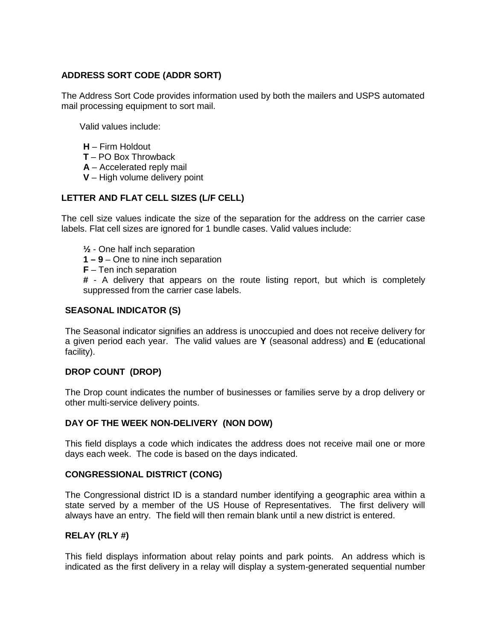# **ADDRESS SORT CODE (ADDR SORT)**

The Address Sort Code provides information used by both the mailers and USPS automated mail processing equipment to sort mail.

Valid values include:

- **H** Firm Holdout
- **T** PO Box Throwback
- **A** Accelerated reply mail
- **V** High volume delivery point

# **LETTER AND FLAT CELL SIZES (L/F CELL)**

The cell size values indicate the size of the separation for the address on the carrier case labels. Flat cell sizes are ignored for 1 bundle cases. Valid values include:

- **½** One half inch separation
- **1 – 9** One to nine inch separation
- **F** Ten inch separation

**#** - A delivery that appears on the route listing report, but which is completely suppressed from the carrier case labels.

# **SEASONAL INDICATOR (S)**

The Seasonal indicator signifies an address is unoccupied and does not receive delivery for a given period each year. The valid values are **Y** (seasonal address) and **E** (educational facility).

# **DROP COUNT (DROP)**

The Drop count indicates the number of businesses or families serve by a drop delivery or other multi-service delivery points.

# **DAY OF THE WEEK NON-DELIVERY (NON DOW)**

This field displays a code which indicates the address does not receive mail one or more days each week. The code is based on the days indicated.

# **CONGRESSIONAL DISTRICT (CONG)**

The Congressional district ID is a standard number identifying a geographic area within a state served by a member of the US House of Representatives. The first delivery will always have an entry. The field will then remain blank until a new district is entered.

# **RELAY (RLY #)**

This field displays information about relay points and park points. An address which is indicated as the first delivery in a relay will display a system-generated sequential number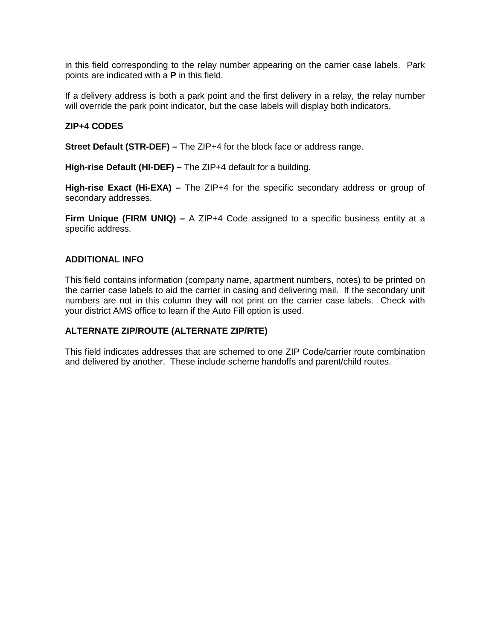in this field corresponding to the relay number appearing on the carrier case labels. Park points are indicated with a **P** in this field.

If a delivery address is both a park point and the first delivery in a relay, the relay number will override the park point indicator, but the case labels will display both indicators.

# **ZIP+4 CODES**

**Street Default (STR-DEF) –** The ZIP+4 for the block face or address range.

**High-rise Default (HI-DEF) –** The ZIP+4 default for a building.

**High-rise Exact (Hi-EXA) –** The ZIP+4 for the specific secondary address or group of secondary addresses.

**Firm Unique (FIRM UNIQ) –** A ZIP+4 Code assigned to a specific business entity at a specific address.

#### **ADDITIONAL INFO**

This field contains information (company name, apartment numbers, notes) to be printed on the carrier case labels to aid the carrier in casing and delivering mail. If the secondary unit numbers are not in this column they will not print on the carrier case labels. Check with your district AMS office to learn if the Auto Fill option is used.

# **ALTERNATE ZIP/ROUTE (ALTERNATE ZIP/RTE)**

This field indicates addresses that are schemed to one ZIP Code/carrier route combination and delivered by another. These include scheme handoffs and parent/child routes.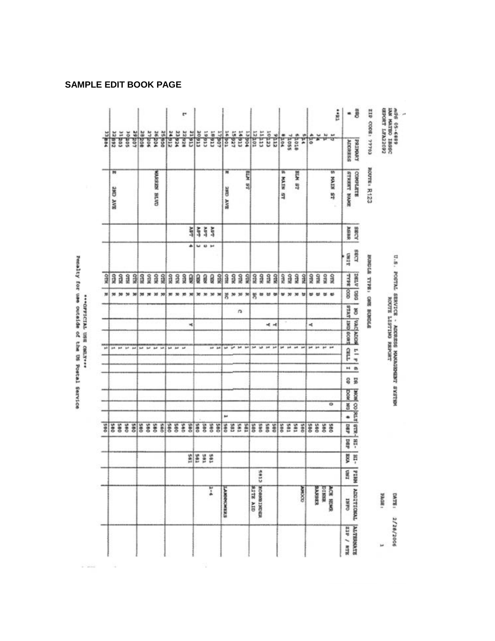|            |                                 |       |     |        |              |                        |     |                 |            | r            |             |                |        |               | 5                      |                     |                   |               | 局               |                        |             |       |                     |                   |               |     |             |            | ta.                 | ۰             | ä                       | E0141 :3000 412         | expost LFA220P2 | JOSET OBLYN KYE<br><b>AGB 05-6889</b>           |
|------------|---------------------------------|-------|-----|--------|--------------|------------------------|-----|-----------------|------------|--------------|-------------|----------------|--------|---------------|------------------------|---------------------|-------------------|---------------|-----------------|------------------------|-------------|-------|---------------------|-------------------|---------------|-----|-------------|------------|---------------------|---------------|-------------------------|-------------------------|-----------------|-------------------------------------------------|
| 13,884     | 22 892<br>21 203                | aogos |     | 28 208 | 27206        | vozj 92                |     | 34900<br>256122 | 23 824     | 22/928       | CTGLE       | aegas          | ctalet | 18913         | उब                     | 16 001              | 14927<br>15927    | 13904         | <b>LOT</b>      | $\frac{1}{11}$         | redor       | strip | <b>A</b>            | <b>BSOT</b>       | erore<br>ŗ    | વ   |             |            |                     | ADDRESS       | PAINMENT                |                         |                 |                                                 |
|            | m<br>SAY CHE                    |       |     |        |              | <b>CLATIS RESISTER</b> |     |                 |            |              |             |                |        |               |                        | m<br><b>WAY CHE</b> |                   | <b>IS WTB</b> |                 |                        |             |       | m<br><b>FAIR ST</b> |                   | <b>BLA 87</b> |     |             |            | 钠<br><b>LS KIVN</b> | STREET NAME   | COMPLETE                | ROUTE: R123             |                 |                                                 |
|            |                                 |       |     |        |              |                        |     |                 |            |              | <b>AB/T</b> | 计算             |        | <b>MPT</b>    |                        |                     |                   |               |                 |                        |             |       |                     |                   |               |     |             |            |                     | ABBR          | <b>ADBS</b>             |                         |                 |                                                 |
|            |                                 |       |     |        |              |                        |     |                 |            |              | ۰           | <b>W 40 BH</b> |        |               |                        |                     |                   |               |                 |                        |             |       |                     |                   |               |     |             |            |                     | <b>TEST</b>   | <b>ADOS</b>             |                         |                 |                                                 |
| <b>STR</b> | STRI<br>å                       | STRI  | Я   | å      | NШО          | <b>STN</b>             | Що  | <b>STIR</b>     | Я          | <b>SER</b>   | Ø           | g              | g      | g             | ЯØ                     | STRI                | Я<br>Я            | <b>STR</b>    | RIO             | ЯДО                    | <b>RLLO</b> | Яã    | S                   | R10               | 9<br>Я        | Я   | Я           | ΝП         | S                   | GOO 3414      | <b>DSD</b> AT30         | BURGLA TYPE: CHE BURGLA |                 | U.S. POSTAL SERVICE - ADDRESS MANAGEMENT SYSTEM |
| m          | 30 30 30                        |       | 36  | 35     | $\mathbf{x}$ | w                      | 38  | ×               | 30         | $\mathbf{m}$ | $30$        | 30 30          |        | 30            | 30                     | 苦 M                 | 35                | n             | 뵹               | . .                    |             | 빠     | $w \times$          |                   | 38<br>٠       | ಠ   | m           | 世          |                     |               |                         |                         |                 |                                                 |
|            |                                 |       |     |        |              |                        |     |                 |            |              |             |                |        |               |                        |                     | n                 |               |                 |                        |             |       |                     |                   |               |     |             |            |                     | STAT IMO 60RT | searches as             |                         |                 | ROUTE LISTING REPORT                            |
|            |                                 |       |     |        |              |                        |     |                 |            |              | ч           |                |        |               |                        |                     |                   |               |                 |                        | 世间          |       |                     |                   |               | ×   |             |            |                     |               |                         |                         |                 |                                                 |
|            |                                 |       |     |        |              |                        |     |                 |            |              |             |                |        |               |                        |                     | <b>M</b> 94 34 34 |               |                 | <b>bit lab</b> put put |             |       |                     | \$4 \$4 \$4. \$4  |               |     | per par per |            |                     |               |                         |                         |                 |                                                 |
| <b>ph</b>  | per put put put but but but the |       |     |        |              |                        |     | <b>M. M</b>     |            |              |             |                |        | as as         |                        |                     |                   |               |                 |                        |             |       |                     |                   |               |     |             |            |                     | T180          | $\frac{1}{2}$           |                         |                 |                                                 |
|            |                                 |       |     |        |              |                        |     |                 |            |              |             |                |        |               |                        |                     |                   |               |                 |                        |             |       |                     |                   |               |     |             |            |                     | ×             | $\frac{1}{9}$           |                         |                 |                                                 |
|            |                                 |       |     |        |              |                        |     |                 |            |              |             |                |        |               |                        |                     |                   |               |                 |                        |             |       |                     |                   |               |     |             |            |                     | g             | $\overline{\mathbf{s}}$ |                         |                 |                                                 |
|            |                                 |       |     |        |              |                        |     |                 |            |              |             |                |        |               |                        |                     |                   |               |                 |                        |             |       |                     |                   |               |     |             |            | ۰                   | <b>DOM</b>    |                         |                         |                 |                                                 |
|            |                                 |       |     |        |              |                        |     |                 |            |              |             |                |        |               |                        |                     |                   |               |                 |                        |             |       |                     |                   |               |     |             |            |                     | š             |                         |                         |                 |                                                 |
| 085        | <b>SES</b>                      |       | oas | OBS    | <b>S80</b>   |                        | ons | OBS             | <b>S80</b> |              | OWS:        | <b>GBS</b>     | gao    | <b>SSS</b>    |                        | 582                 | č85               | røs           | <b>SB</b>       |                        | <b>SBO</b>  | 08S   | 985                 | res<br><b>Tes</b> | OIR'S         | oes | <b>GBS</b>  | <b>SBO</b> | Sec                 | 480           | -TH -218 ATM 00 MONE    |                         |                 |                                                 |
|            |                                 |       |     |        |              |                        |     |                 |            |              |             |                |        |               |                        |                     |                   |               |                 |                        |             |       |                     |                   |               |     |             |            |                     | 48d           |                         |                         |                 |                                                 |
|            |                                 |       |     |        |              |                        |     |                 |            |              | an          | tos            | IOS    | EOS           |                        |                     |                   |               |                 |                        |             |       |                     |                   |               |     |             |            |                     | ğ             | Ħ                       |                         |                 |                                                 |
|            |                                 |       |     |        |              |                        |     |                 |            |              |             |                |        |               |                        |                     |                   |               |                 | 4812                   |             |       |                     |                   |               |     |             |            |                     | IND           | <b>WHILE</b>            |                         |                 |                                                 |
|            |                                 |       |     |        |              |                        |     |                 |            |              |             |                |        | $\frac{1}{2}$ |                        |                     |                   |               |                 |                        |             |       |                     |                   |               |     |             |            |                     |               |                         |                         |                 |                                                 |
|            |                                 |       |     |        |              |                        |     |                 |            |              |             |                |        |               | <b><i>EXEMPLER</i></b> |                     |                   |               | <b>SITE AID</b> | <b>RESIDENT BROOK</b>  |             |       |                     |                   | 0201696       |     | REBEATH     | WAST4      | ACR HEMIR           | CABIT         | TOROTATOTY              |                         | <b>FROAT!</b>   | <b>LIETAG</b>                                   |
|            |                                 |       |     |        |              |                        |     |                 |            |              |             |                |        |               |                        |                     |                   |               |                 |                        |             |       |                     |                   |               |     |             |            |                     | SIP / STR     | <b>ALTERNATE</b>        |                         | <b>M</b>        | 2/28/2006                                       |

\*\*\*<br />
or the correct of the US Posts! Sextles

**SAMPLE EDIT BOOK PAGE**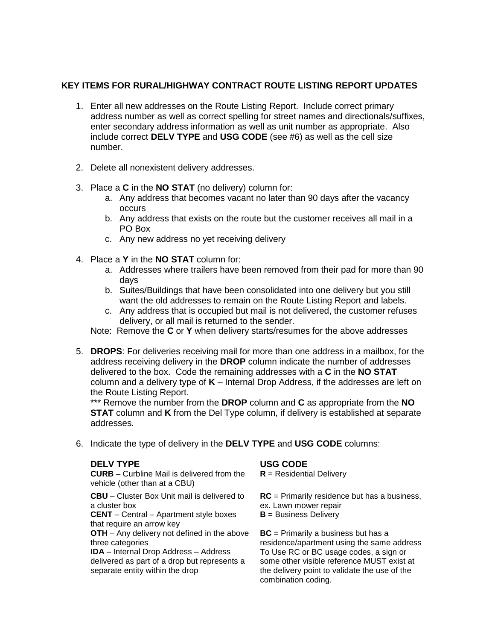# **KEY ITEMS FOR RURAL/HIGHWAY CONTRACT ROUTE LISTING REPORT UPDATES**

- 1. Enter all new addresses on the Route Listing Report. Include correct primary address number as well as correct spelling for street names and directionals/suffixes, enter secondary address information as well as unit number as appropriate. Also include correct **DELV TYPE** and **USG CODE** (see #6) as well as the cell size number.
- 2. Delete all nonexistent delivery addresses.
- 3. Place a **C** in the **NO STAT** (no delivery) column for:
	- a. Any address that becomes vacant no later than 90 days after the vacancy occurs
	- b. Any address that exists on the route but the customer receives all mail in a PO Box
	- c. Any new address no yet receiving delivery
- 4. Place a **Y** in the **NO STAT** column for:
	- a. Addresses where trailers have been removed from their pad for more than 90 days
	- b. Suites/Buildings that have been consolidated into one delivery but you still want the old addresses to remain on the Route Listing Report and labels.
	- c. Any address that is occupied but mail is not delivered, the customer refuses delivery, or all mail is returned to the sender.
	- Note: Remove the **C** or **Y** when delivery starts/resumes for the above addresses
- 5. **DROPS**: For deliveries receiving mail for more than one address in a mailbox, for the address receiving delivery in the **DROP** column indicate the number of addresses delivered to the box. Code the remaining addresses with a **C** in the **NO STAT** column and a delivery type of **K** – Internal Drop Address, if the addresses are left on the Route Listing Report.

\*\*\* Remove the number from the **DROP** column and **C** as appropriate from the **NO STAT** column and **K** from the Del Type column, if delivery is established at separate addresses.

6. Indicate the type of delivery in the **DELV TYPE** and **USG CODE** columns:

#### **DELV TYPE USG CODE**

**CURB** – Curbline Mail is delivered from the vehicle (other than at a CBU)

**CBU** – Cluster Box Unit mail is delivered to a cluster box

**CENT** – Central – Apartment style boxes that require an arrow key

**OTH** – Any delivery not defined in the above three categories

**IDA** – Internal Drop Address – Address delivered as part of a drop but represents a separate entity within the drop

**R** = Residential Delivery

**RC** = Primarily residence but has a business, ex. Lawn mower repair

**B** = Business Delivery

**BC** = Primarily a business but has a residence/apartment using the same address To Use RC or BC usage codes, a sign or some other visible reference MUST exist at the delivery point to validate the use of the combination coding.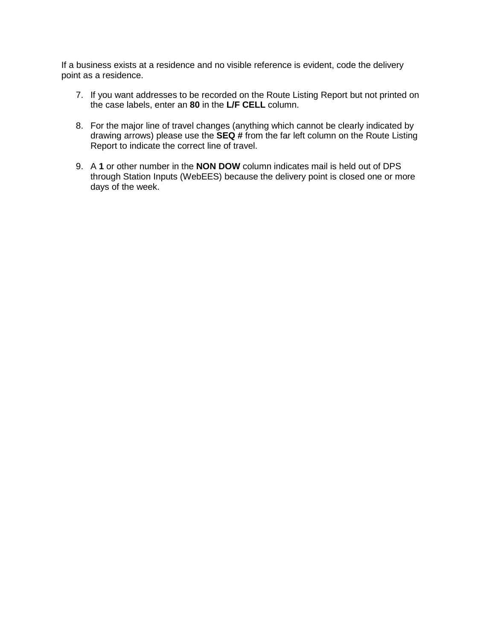If a business exists at a residence and no visible reference is evident, code the delivery point as a residence.

- 7. If you want addresses to be recorded on the Route Listing Report but not printed on the case labels, enter an **80** in the **L/F CELL** column.
- 8. For the major line of travel changes (anything which cannot be clearly indicated by drawing arrows) please use the **SEQ #** from the far left column on the Route Listing Report to indicate the correct line of travel.
- 9. A **1** or other number in the **NON DOW** column indicates mail is held out of DPS through Station Inputs (WebEES) because the delivery point is closed one or more days of the week.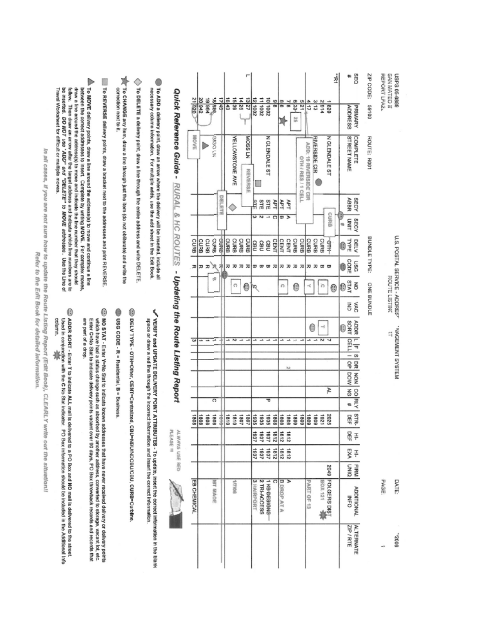|                                                                         |                                                                                                                                                                                                        |                                           | <b>OZB</b> 12       | 20 942<br>19 964 | 398 81              | 유화             | 1643<br>15 39          | 14 25<br>13/27           | 2001 21    | 11 1002                         | 200101        | $\frac{6}{9}$              | $\frac{8}{9}$      | $\frac{1}{8}$   | 623<br>129<br>92 | 411                   | $rac{8}{5}$   | 2914          | 쿄<br>1 820                  | ë<br><b>ADDRESS</b>      | SEQ<br>PRIMARY    | ZIP CODE:<br>00169 | REPORT LFA2. | SAN MATEO II  | 6889-90 SdSN                  |  |
|-------------------------------------------------------------------------|--------------------------------------------------------------------------------------------------------------------------------------------------------------------------------------------------------|-------------------------------------------|---------------------|------------------|---------------------|----------------|------------------------|--------------------------|------------|---------------------------------|---------------|----------------------------|--------------------|-----------------|------------------|-----------------------|---------------|---------------|-----------------------------|--------------------------|-------------------|--------------------|--------------|---------------|-------------------------------|--|
| To DELETE a deivery point, draw a line entire address and write DELETE. | To ADD a delivery point, draw an arrow where the delivery will be inserted, include all<br>necessary column information. For multiple adds, use the add sheet in the Edit Book                         | Quick Reference Guide - RURAL & HC ROUTES | <b>MOVE</b>         |                  | N <sub>1</sub> OSNS |                | <b>YELLOWSTONE AVE</b> | <b>MJSSOM</b><br>REVERSE |            |                                 | N GLENDALE ST |                            |                    |                 | OTH/RES/1CELL    | ADD: 19 RIVERSIDE CIR | RIVERSIDE CIR |               | N GLENDALE ST               | <b>STREET NAME</b>       | COMPLETE          | ROUTE: R001        |              |               |                               |  |
|                                                                         |                                                                                                                                                                                                        |                                           |                     |                  |                     | <b>DIELETE</b> |                        |                          | 혂          | STE<br>$\omega$ N $\rightarrow$ | STE           | PFT<br>$\overline{\Omega}$ | TEA<br>e »         | ΗP <sub>T</sub> |                  |                       |               |               | CURB<br>B                   | <b>ABBR</b><br>UNIT<br>牰 | SECY<br>SECY      |                    |              |               |                               |  |
|                                                                         |                                                                                                                                                                                                        |                                           | CURB<br>B           | CURB<br>CURB     | CURB                | GMG            | CURB<br>CURB           | CURB<br>CORRE            | CBU        | <b>GBU</b>                      | GBU           | CENT                       | CENT               | CENT            | CURB<br>CURB     | CURB                  | CURB          | CURB          | 44                          | TYPE<br>0                | <b>DELV</b>       | BUNDLE TYPE:       |              |               | U.S. POSTAL SERVICE - ADDRES" |  |
|                                                                         |                                                                                                                                                                                                        |                                           |                     | 지 고 고            | R                   | 邛              | ᇙ<br>ᆽ                 | ᅍ<br>ᆽ                   | a          | $\mathbf{\overline{w}}$         | $\infty$      | 고                          | ĸ                  | ᅍ               | 고<br>ᅍ           | ᅍ                     | ᅍ             | ā             | ⊞                           | copE<br>ô                | uso               |                    |              |               |                               |  |
|                                                                         |                                                                                                                                                                                                        | - Updating the Route Listing Report       |                     |                  | ø                   |                | C                      | 0                        | Q          |                                 |               |                            | n                  |                 | 0                | ×                     |               | b             | 0                           | OI                       | $\overline{6}$    |                    |              | ROUTE LISTING |                               |  |
|                                                                         |                                                                                                                                                                                                        |                                           |                     |                  |                     |                |                        |                          |            |                                 |               |                            |                    |                 |                  |                       |               |               |                             | š                        | УAС               | ONE BUNDLE         |              |               |                               |  |
|                                                                         |                                                                                                                                                                                                        |                                           |                     |                  |                     |                |                        |                          |            |                                 |               |                            |                    |                 |                  |                       | O             | $\rightarrow$ |                             | SORT<br>0                | <b>ADDR</b>       |                    |              |               |                               |  |
|                                                                         |                                                                                                                                                                                                        |                                           | $\overline{\omega}$ |                  | ⊶                   |                | N                      |                          |            |                                 |               |                            |                    |                 |                  |                       |               | N             |                             | CELL                     | $\frac{1}{n}$     |                    |              |               | MAGEMENT SYSTEM               |  |
|                                                                         |                                                                                                                                                                                                        |                                           |                     |                  |                     |                |                        |                          |            |                                 |               |                            |                    | N               |                  |                       |               |               |                             | $\frac{1}{9}$            | S DR NON          |                    |              |               |                               |  |
|                                                                         |                                                                                                                                                                                                        |                                           |                     |                  |                     |                |                        |                          |            |                                 |               |                            |                    |                 |                  |                       |               |               |                             | <b>MOG</b>               |                   |                    |              |               |                               |  |
|                                                                         |                                                                                                                                                                                                        |                                           |                     |                  |                     |                |                        |                          |            |                                 |               |                            |                    |                 |                  |                       |               |               | ₽                           | DN <sub>3</sub>          |                   |                    |              |               |                               |  |
|                                                                         |                                                                                                                                                                                                        |                                           |                     |                  | ō                   |                |                        |                          |            |                                 | ᠊ᢐ            |                            |                    |                 |                  |                       |               |               |                             | q,                       | CO <sub>RKY</sub> |                    |              |               |                               |  |
|                                                                         |                                                                                                                                                                                                        |                                           | 1808                | 8081<br>8081     | 8081                | 喜              | 0181<br>0181           | 1081<br>1081             | 988        | 935                             | 939           | 8081                       | 8081               | 8081            | 8081<br>6081     | 6081                  | 6081          | 1821          | 2025                        | 믋                        | <b>STR-</b>       |                    |              |               |                               |  |
|                                                                         |                                                                                                                                                                                                        | PLEASE III                                |                     |                  |                     |                |                        |                          | 1837       | 1837                            | 1837          | 2181                       | 2181               | 2181            |                  |                       |               |               |                             | 묚                        | Ŧ                 |                    |              |               |                               |  |
|                                                                         |                                                                                                                                                                                                        | ILWAYS USE RED                            |                     |                  |                     |                |                        |                          | 1837       | 1637                            | 1837          | 2181                       | 2181               | 2181            |                  |                       |               |               |                             | EXA                      | ÷                 |                    |              |               |                               |  |
|                                                                         |                                                                                                                                                                                                        |                                           |                     |                  |                     |                |                        |                          |            |                                 |               |                            |                    |                 |                  |                       |               |               |                             | DIND                     | FIRM              |                    |              |               |                               |  |
|                                                                         | VERIFY and UPDATE DELIVERY POINT ATTRIBUTES - To update, insert the correct information in the blank<br>space or draw a red line through the incorrect information and insert the correct information. |                                           | EB CHEMICAL         |                  | <b>MT NACE</b>      |                | 30/2/10                |                          | 3 HAIRPORT | 2 TRI-ACCESS                    | KBBESIGNS     | ົ                          | <b>B</b> DROP AT A | ъ               |                  | PART OF 13            |               |               | <b>2049</b><br>POLOGRS DIST | <b>INFO</b>              | <b>ADDITIONAL</b> |                    | <b>PAGE</b>  |               | DATE:                         |  |
|                                                                         |                                                                                                                                                                                                        |                                           |                     |                  |                     |                |                        |                          |            |                                 |               |                            |                    |                 |                  |                       |               |               |                             | ZIP / RTE                | <b>ALTERNATE</b>  |                    |              |               | 9002.                         |  |

 $\bigwedge$  To MOVE delivery points, chaw a line around the address(s) to move and continue a line<br>between the correct addresses to insert. Compilete by writing MOVE. For complex moves,<br>fraw a line around the ackiness(s) to mo s ADDR SORT - Enter T to Indicate ALL mail is delivered to a PO Box and NO mail is delivered to the street.<br>Used in conjunction with the C No Stai Indicator. PO Box information should be Included in the Additional Info<br>co

T To CHANGE any flem, draw a line through just the item (do not obliterate) and write the

correction next to it.

 $\epsilon$ 

To REVERSE delivery points, draw a bracket next to the addresses and print REVERSE.

E NO STAT - Enter Y=No Stat to indicate known addresses that have never received delivery or delivery points

which have had a status change such as absorbed by another atdress, converted to storage, vecant lot, etc.<br>Enter C=No Stat to indicate delivery points vacant over 90 days, PO Box throwback records and records that

are part of a drop.

USG CODE - R = Residential, B = Business.

B DELY TYPE - OTH=Other, CENT=Centralized, CBU=NBU/NDCBU/CBU/CBU CURB=Curbline

In all cases, if you are not sure how to update the Route Listing Report (Edit Book), CLEARLY write out the stuation!!

Refer to the Edit Book for detailed information.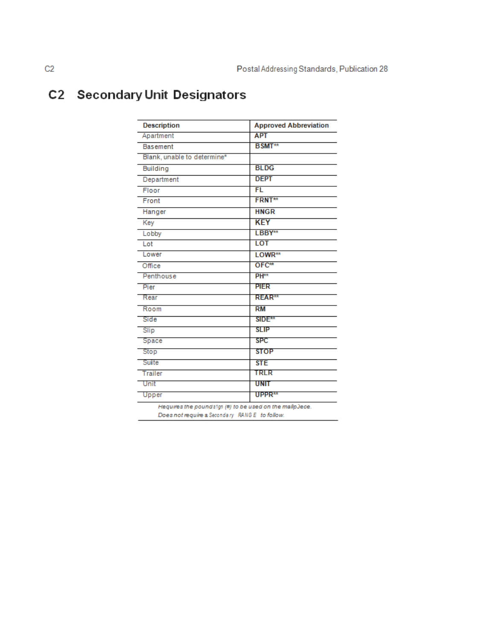# **C2** Secondary Unit Designators

| <b>Description</b>          | <b>Approved Abbreviation</b> |
|-----------------------------|------------------------------|
| Apartment                   | <b>APT</b>                   |
| <b>Basement</b>             | <b>BSMT</b> **               |
| Blank, unable to determine* |                              |
| <b>Building</b>             | <b>BLDG</b>                  |
| Department                  | <b>DEPT</b>                  |
| Floor                       | <b>FL</b>                    |
| Front                       | <b>FRNT**</b>                |
| Hanger                      | <b>HNGR</b>                  |
| Key                         | <b>KEY</b>                   |
| Lobby                       | LBBY**                       |
| Lot                         | LOT                          |
| Lower                       | LOWR**                       |
| Office                      | $OFC**$                      |
| Penthouse                   | PH <sup>**</sup>             |
| Pier                        | <b>PIER</b>                  |
| Rear                        | <b>REAR**</b>                |
| Room                        | <b>RM</b>                    |
| Side                        | SIDE <sup>**</sup>           |
| Slip                        | <b>SLIP</b>                  |
| Space                       | <b>SPC</b>                   |
| Stop                        | <b>STOP</b>                  |
| Suite                       | <b>STE</b>                   |
| Trailer                     | TRLR                         |
| Unit                        | UNIT                         |
| Upper                       | UPPR <sup>**</sup>           |

Requires the poundstgn (#) to be used on the malipJece. Does not require a Secondary RANGE to follow.